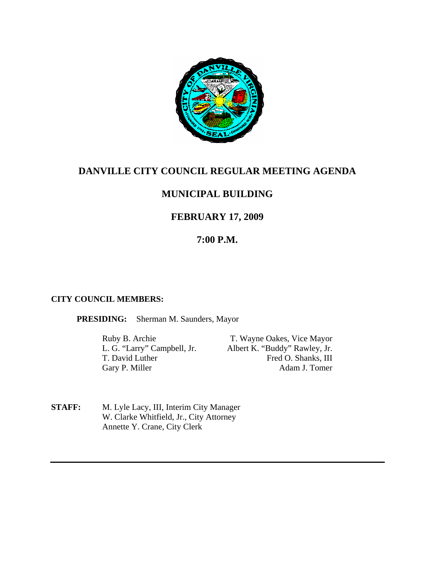

# **DANVILLE CITY COUNCIL REGULAR MEETING AGENDA**

# **MUNICIPAL BUILDING**

# **FEBRUARY 17, 2009**

# **7:00 P.M.**

### **CITY COUNCIL MEMBERS:**

**PRESIDING:** Sherman M. Saunders, Mayor

Gary P. Miller

Ruby B. Archie T. Wayne Oakes, Vice Mayor L. G. "Larry" Campbell, Jr. Albert K. "Buddy" Rawley, Jr. T. David Luther Fred O. Shanks, III<br>Garv P. Miller Adam J. Tomer

**STAFF:** M. Lyle Lacy, III, Interim City Manager W. Clarke Whitfield, Jr., City Attorney Annette Y. Crane, City Clerk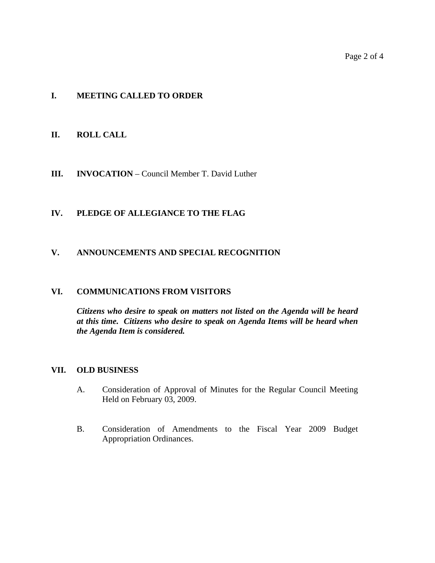### **I. MEETING CALLED TO ORDER**

#### **II. ROLL CALL**

#### **III. INVOCATION** – Council Member T. David Luther

#### **IV. PLEDGE OF ALLEGIANCE TO THE FLAG**

#### **V. ANNOUNCEMENTS AND SPECIAL RECOGNITION**

#### **VI. COMMUNICATIONS FROM VISITORS**

*Citizens who desire to speak on matters not listed on the Agenda will be heard at this time. Citizens who desire to speak on Agenda Items will be heard when the Agenda Item is considered.* 

#### **VII. OLD BUSINESS**

- A. Consideration of Approval of Minutes for the Regular Council Meeting Held on February 03, 2009.
- B. Consideration of Amendments to the Fiscal Year 2009 Budget Appropriation Ordinances.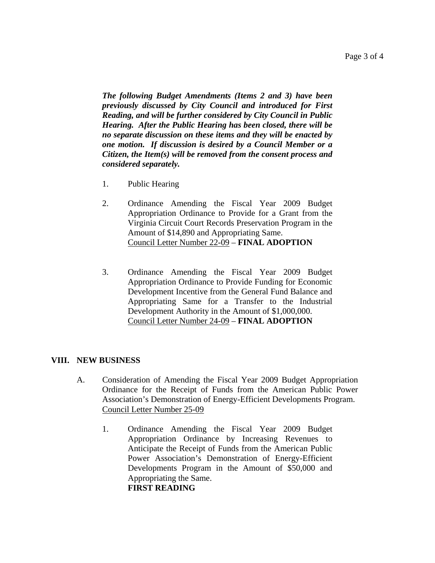*The following Budget Amendments (Items 2 and 3) have been previously discussed by City Council and introduced for First Reading, and will be further considered by City Council in Public Hearing. After the Public Hearing has been closed, there will be no separate discussion on these items and they will be enacted by one motion. If discussion is desired by a Council Member or a Citizen, the Item(s) will be removed from the consent process and considered separately.* 

- 1. Public Hearing
- 2. Ordinance Amending the Fiscal Year 2009 Budget Appropriation Ordinance to Provide for a Grant from the Virginia Circuit Court Records Preservation Program in the Amount of \$14,890 and Appropriating Same. Council Letter Number 22-09 – **FINAL ADOPTION**
- 3. Ordinance Amending the Fiscal Year 2009 Budget Appropriation Ordinance to Provide Funding for Economic Development Incentive from the General Fund Balance and Appropriating Same for a Transfer to the Industrial Development Authority in the Amount of \$1,000,000. Council Letter Number 24-09 – **FINAL ADOPTION**

### **VIII. NEW BUSINESS**

- A. Consideration of Amending the Fiscal Year 2009 Budget Appropriation Ordinance for the Receipt of Funds from the American Public Power Association's Demonstration of Energy-Efficient Developments Program. Council Letter Number 25-09
	- 1. Ordinance Amending the Fiscal Year 2009 Budget Appropriation Ordinance by Increasing Revenues to Anticipate the Receipt of Funds from the American Public Power Association's Demonstration of Energy-Efficient Developments Program in the Amount of \$50,000 and Appropriating the Same. **FIRST READING**